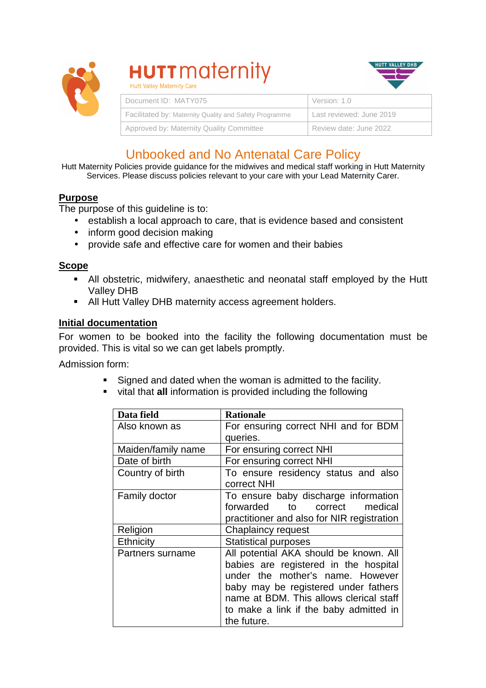

# **HUTT** maternity Hutt Valley Maternity Care



| Document ID: MATY075                                   | Version: 1.0             |
|--------------------------------------------------------|--------------------------|
| Facilitated by: Maternity Quality and Safety Programme | Last reviewed: June 2019 |
| Approved by: Maternity Quality Committee               | Review date: June 2022   |

# Unbooked and No Antenatal Care Policy

Hutt Maternity Policies provide guidance for the midwives and medical staff working in Hutt Maternity Services. Please discuss policies relevant to your care with your Lead Maternity Carer.

## **Purpose**

The purpose of this guideline is to:

- establish a local approach to care, that is evidence based and consistent
- inform good decision making
- provide safe and effective care for women and their babies

#### **Scope**

- All obstetric, midwifery, anaesthetic and neonatal staff employed by the Hutt Valley DHB
- All Hutt Valley DHB maternity access agreement holders.

#### **Initial documentation**

For women to be booked into the facility the following documentation must be provided. This is vital so we can get labels promptly.

Admission form:

- Signed and dated when the woman is admitted to the facility.
- vital that **all** information is provided including the following

| Data field           | <b>Rationale</b>                           |
|----------------------|--------------------------------------------|
| Also known as        | For ensuring correct NHI and for BDM       |
|                      | queries.                                   |
| Maiden/family name   | For ensuring correct NHI                   |
| Date of birth        | For ensuring correct NHI                   |
| Country of birth     | To ensure residency status and also        |
|                      | correct NHI                                |
| <b>Family doctor</b> | To ensure baby discharge information       |
|                      | forwarded<br>to to<br>correct<br>medical   |
|                      | practitioner and also for NIR registration |
| Religion             | Chaplaincy request                         |
| Ethnicity            | <b>Statistical purposes</b>                |
| Partners surname     | All potential AKA should be known. All     |
|                      | babies are registered in the hospital      |
|                      | under the mother's name. However           |
|                      | baby may be registered under fathers       |
|                      | name at BDM. This allows clerical staff    |
|                      | to make a link if the baby admitted in     |
|                      | the future.                                |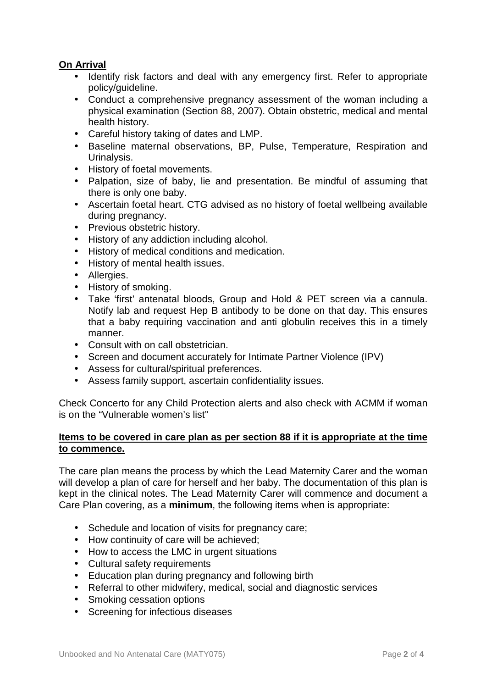## **On Arrival**

- Identify risk factors and deal with any emergency first. Refer to appropriate policy/guideline.
- Conduct a comprehensive pregnancy assessment of the woman including a physical examination (Section 88, 2007). Obtain obstetric, medical and mental health history.
- Careful history taking of dates and LMP.
- Baseline maternal observations, BP, Pulse, Temperature, Respiration and Urinalysis.
- History of foetal movements.
- Palpation, size of baby, lie and presentation. Be mindful of assuming that there is only one baby.
- Ascertain foetal heart. CTG advised as no history of foetal wellbeing available during pregnancy.
- Previous obstetric history.
- History of any addiction including alcohol.
- History of medical conditions and medication.
- History of mental health issues.
- Allergies.
- History of smoking.
- Take 'first' antenatal bloods, Group and Hold & PET screen via a cannula. Notify lab and request Hep B antibody to be done on that day. This ensures that a baby requiring vaccination and anti globulin receives this in a timely manner.
- Consult with on call obstetrician.
- Screen and document accurately for Intimate Partner Violence (IPV)
- Assess for cultural/spiritual preferences.
- Assess family support, ascertain confidentiality issues.

Check Concerto for any Child Protection alerts and also check with ACMM if woman is on the "Vulnerable women's list"

#### **Items to be covered in care plan as per section 88 if it is appropriate at the time to commence.**

The care plan means the process by which the Lead Maternity Carer and the woman will develop a plan of care for herself and her baby. The documentation of this plan is kept in the clinical notes. The Lead Maternity Carer will commence and document a Care Plan covering, as a **minimum**, the following items when is appropriate:

- Schedule and location of visits for pregnancy care;
- How continuity of care will be achieved;
- How to access the LMC in urgent situations
- Cultural safety requirements
- Education plan during pregnancy and following birth
- Referral to other midwifery, medical, social and diagnostic services
- Smoking cessation options
- Screening for infectious diseases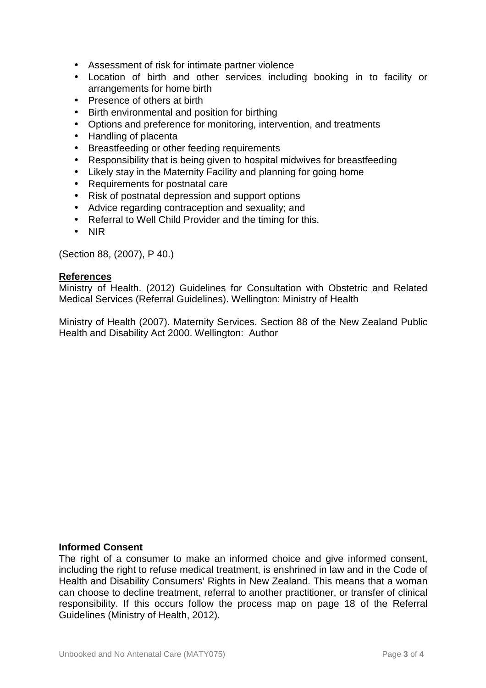- Assessment of risk for intimate partner violence
- Location of birth and other services including booking in to facility or arrangements for home birth
- Presence of others at birth
- Birth environmental and position for birthing
- Options and preference for monitoring, intervention, and treatments
- Handling of placenta
- Breastfeeding or other feeding requirements
- Responsibility that is being given to hospital midwives for breastfeeding
- Likely stay in the Maternity Facility and planning for going home
- Requirements for postnatal care
- Risk of postnatal depression and support options
- Advice regarding contraception and sexuality; and
- Referral to Well Child Provider and the timing for this.
- NIR

(Section 88, (2007), P 40.)

#### **References**

Ministry of Health. (2012) Guidelines for Consultation with Obstetric and Related Medical Services (Referral Guidelines). Wellington: Ministry of Health

Ministry of Health (2007). Maternity Services. Section 88 of the New Zealand Public Health and Disability Act 2000. Wellington: Author

#### **Informed Consent**

The right of a consumer to make an informed choice and give informed consent, including the right to refuse medical treatment, is enshrined in law and in the Code of Health and Disability Consumers' Rights in New Zealand. This means that a woman can choose to decline treatment, referral to another practitioner, or transfer of clinical responsibility. If this occurs follow the process map on page 18 of the Referral Guidelines (Ministry of Health, 2012).